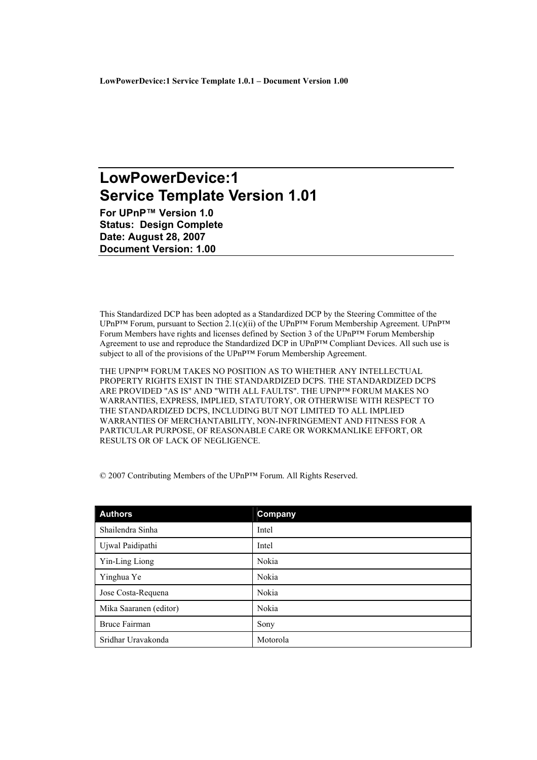# LowPowerDevice:1 **Service Template Version 1.01**

For UPnP™ Version 1.0 **Status: Design Complete** Date: August 28, 2007 **Document Version: 1.00** 

This Standardized DCP has been adopted as a Standardized DCP by the Steering Committee of the UPnP<sup>TM</sup> Forum, pursuant to Section 2.1(c)(ii) of the UPnP<sup>TM</sup> Forum Membership Agreement. UPnP<sup>TM</sup> Forum Members have rights and licenses defined by Section 3 of the UPnP<sup>TM</sup> Forum Membership Agreement to use and reproduce the Standardized DCP in UPnP<sup>TM</sup> Compliant Devices. All such use is subject to all of the provisions of the UPnP<sup>TM</sup> Forum Membership Agreement.

THE UPNPTM FORUM TAKES NO POSITION AS TO WHETHER ANY INTELLECTUAL PROPERTY RIGHTS EXIST IN THE STANDARDIZED DCPS. THE STANDARDIZED DCPS ARE PROVIDED "AS IS" AND "WITH ALL FAULTS". THE UPNP™ FORUM MAKES NO WARRANTIES, EXPRESS, IMPLIED, STATUTORY, OR OTHERWISE WITH RESPECT TO THE STANDARDIZED DCPS. INCLUDING BUT NOT LIMITED TO ALL IMPLIED WARRANTIES OF MERCHANTABILITY, NON-INFRINGEMENT AND FITNESS FOR A PARTICULAR PURPOSE, OF REASONABLE CARE OR WORKMANLIKE EFFORT, OR RESULTS OR OF LACK OF NEGLIGENCE.

© 2007 Contributing Members of the UPnPTM Forum. All Rights Reserved.

| <b>Authors</b>         | <b>Company</b> |
|------------------------|----------------|
| Shailendra Sinha       | Intel          |
| Ujwal Paidipathi       | Intel          |
| Yin-Ling Liong         | Nokia          |
| Yinghua Ye             | Nokia          |
| Jose Costa-Requena     | Nokia          |
| Mika Saaranen (editor) | Nokia          |
| <b>Bruce Fairman</b>   | Sony           |
| Sridhar Uravakonda     | Motorola       |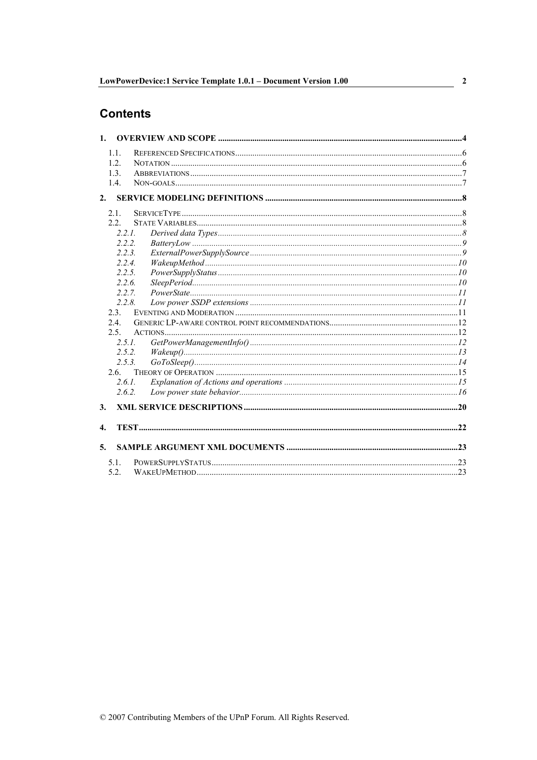# **Contents**

| 1.1.             |        |  |
|------------------|--------|--|
| 1.2.             |        |  |
| 13               |        |  |
| 1.4.             |        |  |
| 2.               |        |  |
| 2.1.             |        |  |
| 2.2              |        |  |
|                  | 221    |  |
|                  | 2.2.2. |  |
|                  | 2.2.3. |  |
|                  | 2.2.4. |  |
|                  | 2.2.5. |  |
|                  | 2.2.6. |  |
|                  | 2.2.7. |  |
|                  | 2.2.8. |  |
| 2.3              |        |  |
| 2.4              |        |  |
| 2.5.             |        |  |
|                  | 2.5.1. |  |
|                  | 2.5.2. |  |
| 2.6              | 2.5.3. |  |
|                  | 2.6.1. |  |
|                  | 2.6.2. |  |
|                  |        |  |
| 3.               |        |  |
| $\overline{4}$ . |        |  |
| 5.               |        |  |
| 5 1              |        |  |
| 5.2.             |        |  |

 $\overline{\mathbf{c}}$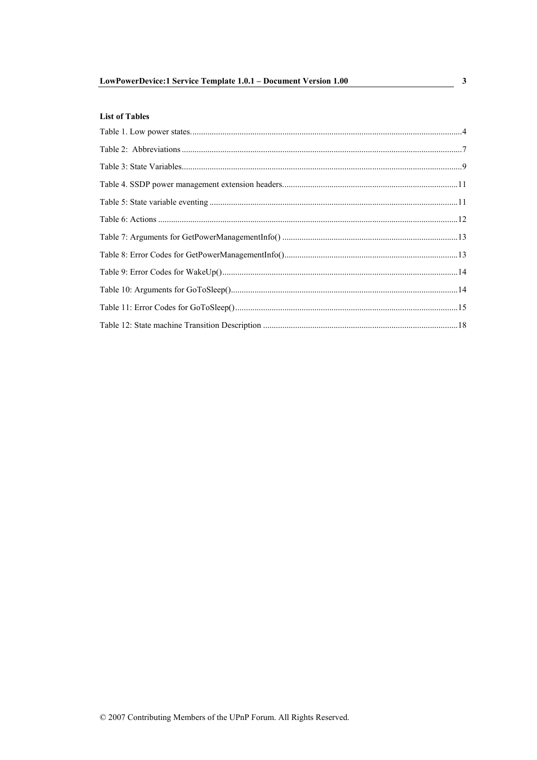| LowPowerDevice:1 Service Template 1.0.1 - Document Version 1.00 |  |
|-----------------------------------------------------------------|--|
|                                                                 |  |

# **List of Tables**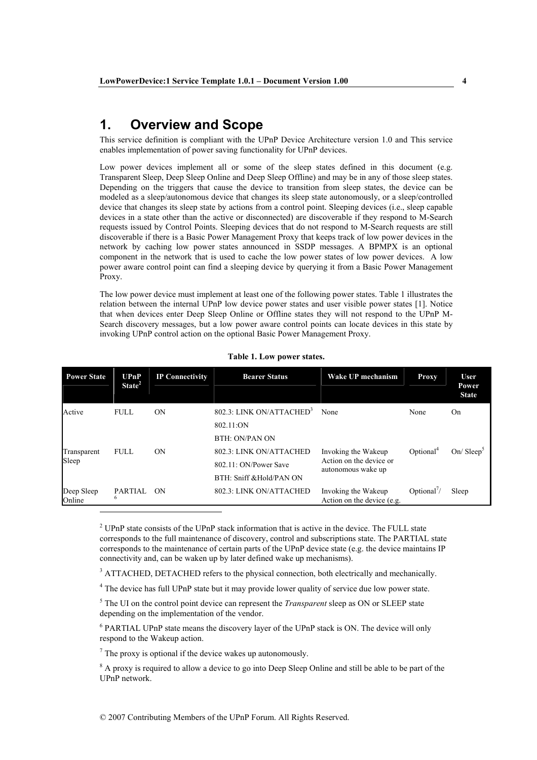#### **Overview and Scope**  $\mathbf 1$

This service definition is compliant with the UPnP Device Architecture version 1.0 and This service enables implementation of power saving functionality for UPnP devices.

Low power devices implement all or some of the sleep states defined in this document (e.g. Transparent Sleep, Deep Sleep Online and Deep Sleep Offline) and may be in any of those sleep states. Depending on the triggers that cause the device to transition from sleep states, the device can be modeled as a sleep/autonomous device that changes its sleep state autonomously, or a sleep/controlled device that changes its sleep state by actions from a control point. Sleeping devices (i.e., sleep capable devices in a state other than the active or disconnected) are discoverable if they respond to M-Search requests issued by Control Points. Sleeping devices that do not respond to M-Search requests are still discoverable if there is a Basic Power Management Proxy that keeps track of low power devices in the network by caching low power states announced in SSDP messages. A BPMPX is an optional component in the network that is used to cache the low power states of low power devices. A low power aware control point can find a sleeping device by querying it from a Basic Power Management Proxy.

The low power device must implement at least one of the following power states. Table 1 illustrates the relation between the internal UPnP low device power states and user visible power states [1]. Notice that when devices enter Deep Sleep Online or Offline states they will not respond to the UPnP M-Search discovery messages, but a low power aware control points can locate devices in this state by invoking UPnP control action on the optional Basic Power Management Proxy.

| <b>Power State</b>   | UPnP<br>State <sup>2</sup> | <b>IP Connectivity</b> | <b>Bearer Status</b>                                                                                  | Wake UP mechanism                                                    | <b>Proxy</b>                            | <b>User</b><br>Power<br><b>State</b> |
|----------------------|----------------------------|------------------------|-------------------------------------------------------------------------------------------------------|----------------------------------------------------------------------|-----------------------------------------|--------------------------------------|
| Active               | <b>FULL</b>                | <b>ON</b>              | 802.3: LINK ON/ATTACHED <sup>3</sup><br>802.11:ON                                                     | None                                                                 | None                                    | On                                   |
| Transparent<br>Sleep | <b>FULL</b>                | <b>ON</b>              | <b>BTH: ON/PAN ON</b><br>802.3: LINK ON/ATTACHED<br>802.11: ON/Power Save<br>BTH: Sniff & Hold/PAN ON | Invoking the Wakeup<br>Action on the device or<br>autonomous wake up | Optional <sup>4</sup>                   | $On/ \text{Sleep}^3$                 |
| Deep Sleep<br>Online | <b>PARTIAL</b><br>6        | ON                     | 802.3: LINK ON/ATTACHED                                                                               | Invoking the Wakeup<br>Action on the device (e.g.                    | Optional <sup><math>\prime</math></sup> | Sleep                                |

#### Table 1. Low power states.

<sup>2</sup> UPnP state consists of the UPnP stack information that is active in the device. The FULL state corresponds to the full maintenance of discovery, control and subscriptions state. The PARTIAL state corresponds to the maintenance of certain parts of the UPnP device state (e.g. the device maintains IP connectivity and, can be waken up by later defined wake up mechanisms).

<sup>3</sup> ATTACHED, DETACHED refers to the physical connection, both electrically and mechanically.

<sup>4</sup> The device has full UPnP state but it may provide lower quality of service due low power state.

<sup>5</sup> The UI on the control point device can represent the *Transparent* sleep as ON or SLEEP state depending on the implementation of the vendor.

 $6$  PARTIAL UPnP state means the discovery layer of the UPnP stack is ON. The device will only respond to the Wakeup action.

 $\frac{7}{7}$  The proxy is optional if the device wakes up autonomously.

<sup>8</sup> A proxy is required to allow a device to go into Deep Sleep Online and still be able to be part of the UPnP network.

© 2007 Contributing Members of the UPnP Forum. All Rights Reserved.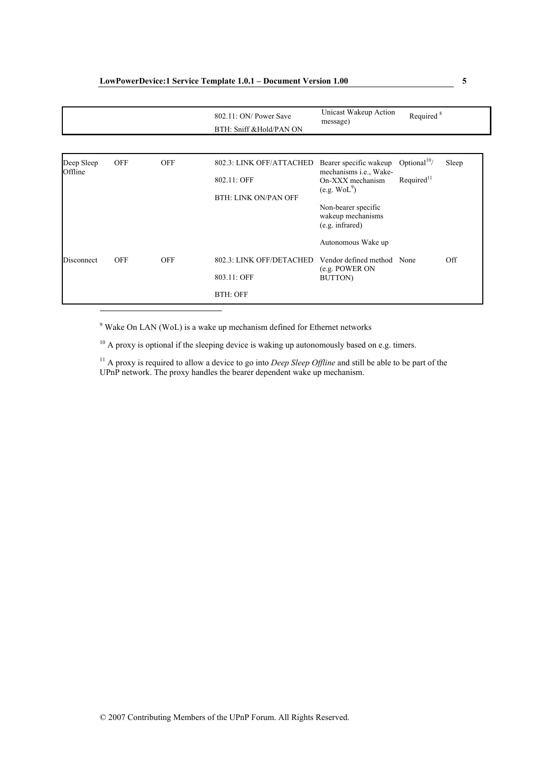|                       |            |            | 802.11: ON/ Power Save<br>BTH: Sniff & Hold/PAN ON | Unicast Wakeup Action<br>message)                           | Required <sup>8</sup>    |       |
|-----------------------|------------|------------|----------------------------------------------------|-------------------------------------------------------------|--------------------------|-------|
|                       |            |            |                                                    |                                                             |                          |       |
| Deep Sleep<br>Offline | <b>OFF</b> | <b>OFF</b> | 802.3: LINK OFF/ATTACHED                           | Bearer specific wakeup<br>mechanisms <i>i.e.</i> , Wake-    | Optional <sup>10</sup> / | Sleep |
|                       |            |            | 802.11: OFF                                        | On-XXX mechanism<br>(e.g. WoL <sup>9</sup> )                | Required $11$            |       |
|                       |            |            | <b>BTH: LINK ON/PAN OFF</b>                        |                                                             |                          |       |
|                       |            |            |                                                    | Non-bearer specific<br>wakeup mechanisms<br>(e.g. infrared) |                          |       |
|                       |            |            |                                                    | Autonomous Wake up                                          |                          |       |
| Disconnect            | <b>OFF</b> | <b>OFF</b> | 802.3: LINK OFF/DETACHED                           | Vendor defined method None                                  |                          | Off   |
|                       |            |            | 803.11: OFF                                        | (e.g. POWER ON<br>BUTTON)                                   |                          |       |
|                       |            |            | <b>BTH: OFF</b>                                    |                                                             |                          |       |

<sup>9</sup> Wake On LAN (WoL) is a wake up mechanism defined for Ethernet networks

<sup>10</sup> A proxy is optional if the sleeping device is waking up autonomously based on e.g. timers.

<sup>11</sup> A proxy is required to allow a device to go into *Deep Sleep Offline* and still be able to be part of the UPnP network. The proxy handles the bearer dependent wake up mechanism.

 $\overline{\mathbf{5}}$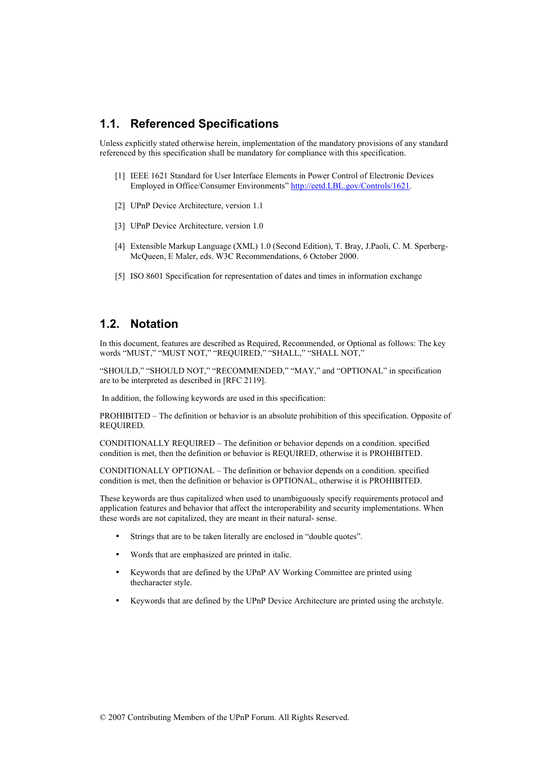#### $1.1.$ **Referenced Specifications**

Unless explicitly stated otherwise herein, implementation of the mandatory provisions of any standard referenced by this specification shall be mandatory for compliance with this specification.

- [1] IEEE 1621 Standard for User Interface Elements in Power Control of Electronic Devices Employed in Office/Consumer Environments" http://eetd.LBL.gov/Controls/1621.
- [2] UPnP Device Architecture, version 1.1
- [3] UPnP Device Architecture, version 1.0
- [4] Extensible Markup Language (XML) 1.0 (Second Edition), T. Bray, J.Paoli, C. M. Sperberg-McQueen, E Maler, eds. W3C Recommendations, 6 October 2000.
- [5] ISO 8601 Specification for representation of dates and times in information exchange

# 1.2. Notation

In this document, features are described as Required, Recommended, or Optional as follows: The key words "MUST," "MUST NOT," "REQUIRED," "SHALL," "SHALL NOT,"

"SHOULD," "SHOULD NOT," "RECOMMENDED," "MAY," and "OPTIONAL" in specification are to be interpreted as described in [RFC 2119].

In addition, the following keywords are used in this specification:

PROHIBITED – The definition or behavior is an absolute prohibition of this specification. Opposite of REOUIRED.

CONDITIONALLY REOUIRED – The definition or behavior depends on a condition, specified condition is met, then the definition or behavior is REOUIRED, otherwise it is PROHIBITED.

CONDITIONALLY OPTIONAL – The definition or behavior depends on a condition. specified condition is met, then the definition or behavior is OPTIONAL, otherwise it is PROHIBITED.

These keywords are thus capitalized when used to unambiguously specify requirements protocol and application features and behavior that affect the interoperability and security implementations. When these words are not capitalized, they are meant in their natural- sense.

- Strings that are to be taken literally are enclosed in "double quotes".
- Words that are emphasized are printed in italic.
- Keywords that are defined by the UPnP AV Working Committee are printed using thecharacter style.
- Keywords that are defined by the UPnP Device Architecture are printed using the archityle.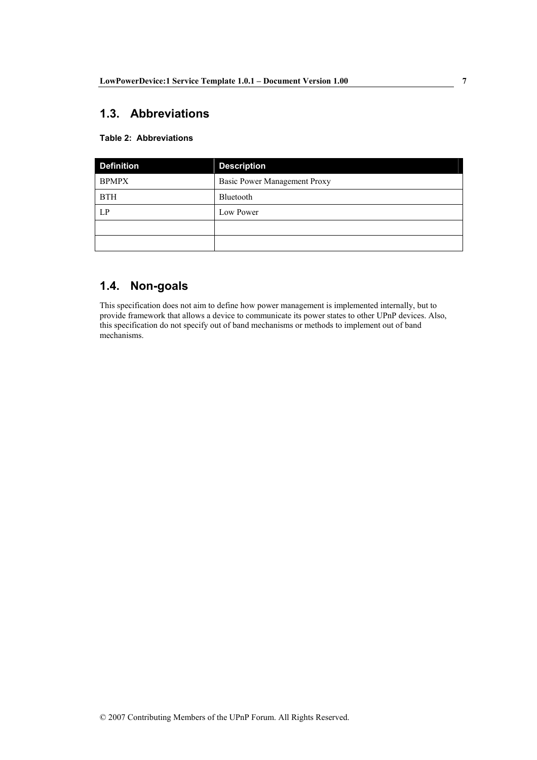# 1.3. Abbreviations

### **Table 2: Abbreviations**

| <b>Definition</b> | <b>Description</b>           |  |
|-------------------|------------------------------|--|
| <b>BPMPX</b>      | Basic Power Management Proxy |  |
| <b>BTH</b>        | Bluetooth                    |  |
| LP                | Low Power                    |  |
|                   |                              |  |
|                   |                              |  |

# 1.4. Non-goals

This specification does not aim to define how power management is implemented internally, but to provide framework that allows a device to communicate its power states to other UPnP devices. Also, this specification do not specify out of band mechanisms or methods to implement out of band mechanisms.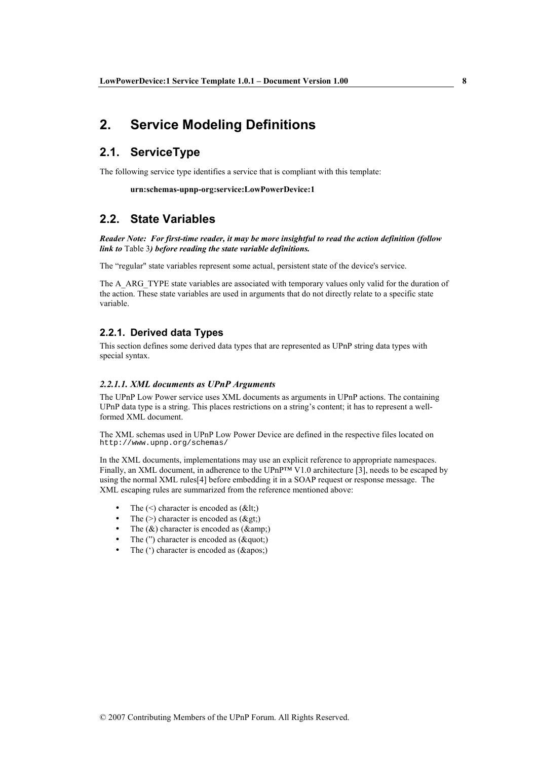#### **Service Modeling Definitions**  $2<sub>1</sub>$

# 2.1. ServiceType

The following service type identifies a service that is compliant with this template:

urn:schemas-upnp-org:service:LowPowerDevice:1

# 2.2. State Variables

Reader Note: For first-time reader, it may be more insightful to read the action definition (follow link to Table 3) before reading the state variable definitions.

The "regular" state variables represent some actual, persistent state of the device's service.

The A ARG TYPE state variables are associated with temporary values only valid for the duration of the action. These state variables are used in arguments that do not directly relate to a specific state variable.

### 2.2.1. Derived data Types

This section defines some derived data types that are represented as UPnP string data types with special syntax.

#### 2.2.1.1. XML documents as UPnP Arguments

The UPnP Low Power service uses XML documents as arguments in UPnP actions. The containing UPnP data type is a string. This places restrictions on a string's content; it has to represent a wellformed XML document.

The XML schemas used in UPnP Low Power Device are defined in the respective files located on http://www.upnp.org/schemas/

In the XML documents, implementations may use an explicit reference to appropriate namespaces. Finally, an XML document, in adherence to the UPnP<sup>TM</sup> V1.0 architecture [3], needs to be escaped by using the normal XML rules<sup>[4]</sup> before embedding it in a SOAP request or response message. The XML escaping rules are summarized from the reference mentioned above:

- The  $(\leq)$  character is encoded as  $(\< t)$ ;
- The  $(>)$  character is encoded as  $(\>gt;$ ;
- The  $(\&)$  character is encoded as  $(\&)$
- The  $('')$  character is encoded as  $(\&$  auot:)
- The  $(')$  character is encoded as  $(\&$ apos;)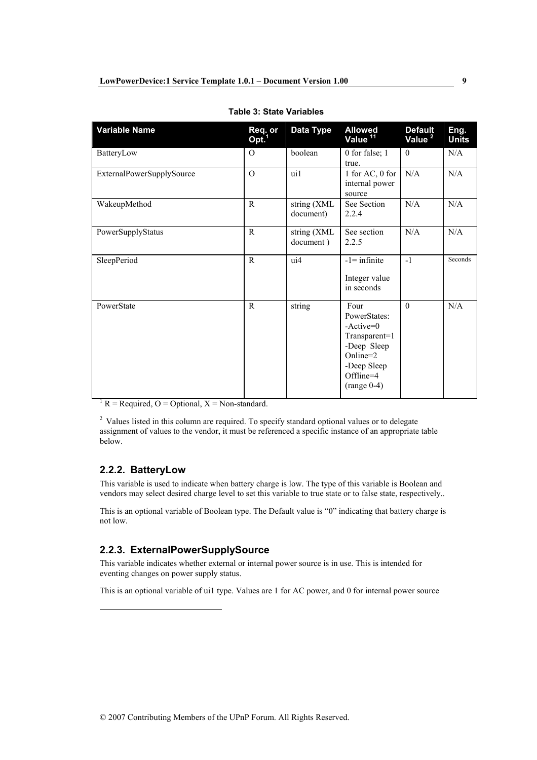| <b>Variable Name</b>      | Req. or<br>Opt. <sup>1</sup> | Data Type                | <b>Allowed</b><br>Value <sup>11</sup>                                                                                        | <b>Default</b><br>Value <sup>2</sup> | Eng.<br><b>Units</b> |
|---------------------------|------------------------------|--------------------------|------------------------------------------------------------------------------------------------------------------------------|--------------------------------------|----------------------|
| BatteryLow                | $\Omega$                     | boolean                  | 0 for false; 1<br>true.                                                                                                      | $\mathbf{0}$                         | N/A                  |
| ExternalPowerSupplySource | $\overline{O}$               | ui1                      | 1 for AC, 0 for<br>internal power<br>source                                                                                  | N/A                                  | N/A                  |
| WakeupMethod              | $\mathbf{R}$                 | string (XML<br>document) | See Section<br>2.2.4                                                                                                         | N/A                                  | N/A                  |
| PowerSupplyStatus         | $\mathbb{R}$                 | string (XML<br>document) | See section<br>2.2.5                                                                                                         | N/A                                  | N/A                  |
| SleepPeriod               | $\mathbb{R}$                 | ui4                      | $-1$ = infinite<br>Integer value<br>in seconds                                                                               | $-1$                                 | Seconds              |
| PowerState                | R                            | string                   | Four<br>PowerStates:<br>$-Active=0$<br>Transparent=1<br>-Deep Sleep<br>Online=2<br>-Deep Sleep<br>Offline=4<br>$(range 0-4)$ | $\Omega$                             | N/A                  |

**Table 3: State Variables** 

<sup>1</sup> R = Required, O = Optional, X = Non-standard.

<sup>2</sup> Values listed in this column are required. To specify standard optional values or to delegate assignment of values to the vendor, it must be referenced a specific instance of an appropriate table  $helow$ 

# 2.2.2. BatteryLow

This variable is used to indicate when battery charge is low. The type of this variable is Boolean and vendors may select desired charge level to set this variable to true state or to false state, respectively...

This is an optional variable of Boolean type. The Default value is "0" indicating that battery charge is not low.

## 2.2.3. ExternalPowerSupplySource

This variable indicates whether external or internal power source is in use. This is intended for eventing changes on power supply status.

This is an optional variable of ui1 type. Values are 1 for AC power, and 0 for internal power source

9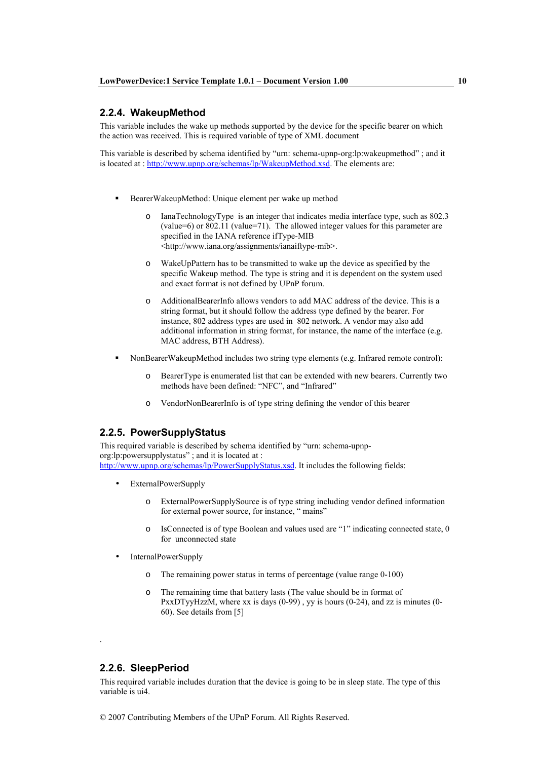### 2.2.4. WakeupMethod

This variable includes the wake up methods supported by the device for the specific bearer on which the action was received. This is required variable of type of XML document

This variable is described by schema identified by "urn: schema-upnp-org:lp:wakeupmethod"; and it is located at : http://www.upnp.org/schemas/lp/WakeupMethod.xsd. The elements are:

- $\blacksquare$ BearerWakeupMethod: Unique element per wake up method
	- IanaTechnologyType is an integer that indicates media interface type, such as 802.3 (value=6) or  $802.11$  (value=71). The allowed integer values for this parameter are specified in the IANA reference if Type-MIB <http://www.iana.org/assignments/ianaiftype-mib>.
	- WakeUpPattern has to be transmitted to wake up the device as specified by the  $\Omega$ specific Wakeup method. The type is string and it is dependent on the system used and exact format is not defined by UPnP forum.
	- AdditionalBearerInfo allows vendors to add MAC address of the device. This is a string format, but it should follow the address type defined by the bearer. For instance, 802 address types are used in 802 network. A vendor may also add additional information in string format, for instance, the name of the interface (e.g. MAC address, BTH Address).
- NonBearerWakeupMethod includes two string type elements (e.g. Infrared remote control):
	- BearerType is enumerated list that can be extended with new bearers. Currently two  $\circ$ methods have been defined: "NFC", and "Infrared"
	- VendorNonBearerInfo is of type string defining the vendor of this bearer  $\Omega$

### 2.2.5. PowerSupplyStatus

This required variable is described by schema identified by "urn: schema-upnporg:lp:powersupplystatus"; and it is located at: http://www.upnp.org/schemas/lp/PowerSupplyStatus.xsd. It includes the following fields:

- **ExternalPowerSupply** 
	- ExternalPowerSupplySource is of type string including vendor defined information  $\Omega$ for external power source, for instance, "mains"
	- IsConnected is of type Boolean and values used are "1" indicating connected state, 0  $\circ$ for unconnected state
- InternalPowerSupply
	- The remaining power status in terms of percentage (value range 0-100)
	- The remaining time that battery lasts (The value should be in format of  $\circ$ PxxDTyyHzzM, where xx is days  $(0-99)$ , yy is hours  $(0-24)$ , and zz is minutes  $(0-$ 60). See details from [5]

## 2.2.6. SleepPeriod

This required variable includes duration that the device is going to be in sleep state. The type of this variable is ui4

© 2007 Contributing Members of the UPnP Forum. All Rights Reserved.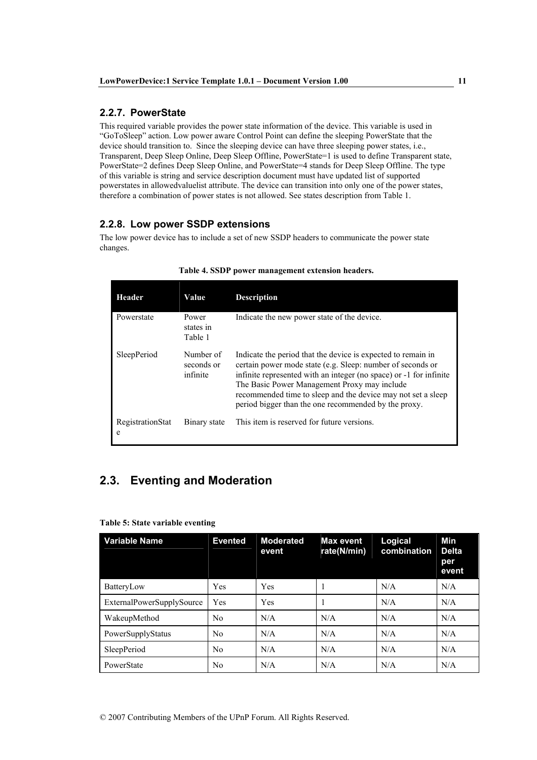## 2.2.7. PowerState

This required variable provides the power state information of the device. This variable is used in "GoToSleep" action. Low power aware Control Point can define the sleeping PowerState that the device should transition to. Since the sleeping device can have three sleeping power states, i.e., Transparent, Deep Sleep Online, Deep Sleep Offline, PowerState=1 is used to define Transparent state, PowerState=2 defines Deep Sleep Online, and PowerState=4 stands for Deep Sleep Offline. The type of this variable is string and service description document must have updated list of supported powerstates in allowed valuelist attribute. The device can transition into only one of the power states. therefore a combination of power states is not allowed. See states description from Table 1.

# 2.2.8. Low power SSDP extensions

The low power device has to include a set of new SSDP headers to communicate the power state changes.

| Header                | Value                               | <b>Description</b>                                                                                                                                                                                                                                                                                                                                                       |
|-----------------------|-------------------------------------|--------------------------------------------------------------------------------------------------------------------------------------------------------------------------------------------------------------------------------------------------------------------------------------------------------------------------------------------------------------------------|
| Powerstate            | Power<br>states in<br>Table 1       | Indicate the new power state of the device.                                                                                                                                                                                                                                                                                                                              |
| <b>SleepPeriod</b>    | Number of<br>seconds or<br>infinite | Indicate the period that the device is expected to remain in<br>certain power mode state (e.g. Sleep: number of seconds or<br>infinite represented with an integer (no space) or -1 for infinite<br>The Basic Power Management Proxy may include<br>recommended time to sleep and the device may not set a sleep<br>period bigger than the one recommended by the proxy. |
| RegistrationStat<br>e | Binary state                        | This item is reserved for future versions.                                                                                                                                                                                                                                                                                                                               |

Table 4. SSDP power management extension headers.

# 2.3. Eventing and Moderation

| <b>Variable Name</b>      | <b>Evented</b> | <b>Moderated</b><br>event | <b>Max event</b><br>rate(N/min) | Logical<br>combination | Min<br><b>Delta</b><br>per<br>event |
|---------------------------|----------------|---------------------------|---------------------------------|------------------------|-------------------------------------|
| BatteryLow                | Yes            | Yes                       |                                 | N/A                    | N/A                                 |
| ExternalPowerSupplySource | Yes            | Yes                       |                                 | N/A                    | N/A                                 |
| WakeupMethod              | N <sub>0</sub> | N/A                       | N/A                             | N/A                    | N/A                                 |
| PowerSupplyStatus         | N <sub>0</sub> | N/A                       | N/A                             | N/A                    | N/A                                 |
| SleepPeriod               | N <sub>0</sub> | N/A                       | N/A                             | N/A                    | N/A                                 |
| PowerState                | N <sub>0</sub> | N/A                       | N/A                             | N/A                    | N/A                                 |

#### Table 5: State variable eventing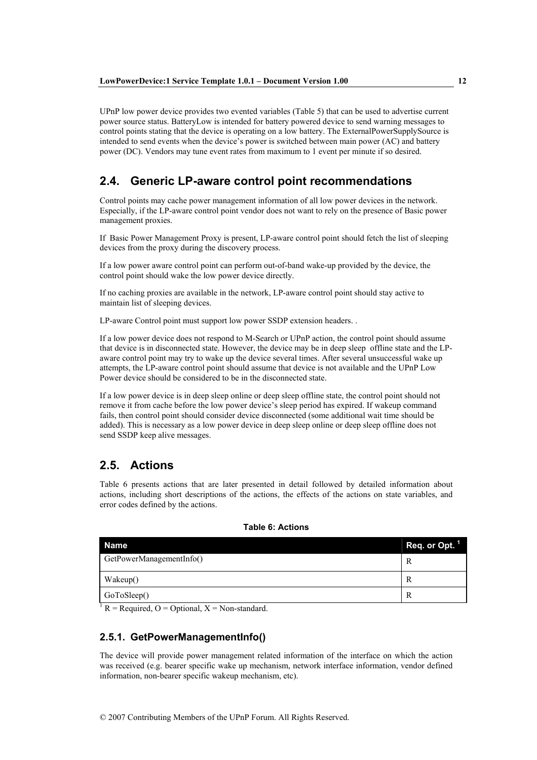UPnP low power device provides two evented variables (Table 5) that can be used to advertise current power source status. Battery Low is intended for battery powered device to send warning messages to control points stating that the device is operating on a low battery. The ExternalPowerSupplySource is intended to send events when the device's power is switched between main power (AC) and battery power (DC). Vendors may tune event rates from maximum to 1 event per minute if so desired.

#### $2.4.$ Generic LP-aware control point recommendations

Control points may cache power management information of all low power devices in the network. Especially, if the LP-aware control point vendor does not want to rely on the presence of Basic power management proxies.

If Basic Power Management Proxy is present, LP-aware control point should fetch the list of sleeping devices from the proxy during the discovery process.

If a low power aware control point can perform out-of-band wake-up provided by the device, the control point should wake the low power device directly.

If no caching proxies are available in the network, LP-aware control point should stay active to maintain list of sleeping devices.

LP-aware Control point must support low power SSDP extension headers. .

If a low power device does not respond to M-Search or UPnP action, the control point should assume that device is in disconnected state. However, the device may be in deep sleep offline state and the LPaware control point may try to wake up the device several times. After several unsuccessful wake up attempts, the LP-aware control point should assume that device is not available and the UPnP Low Power device should be considered to be in the disconnected state.

If a low power device is in deep sleep online or deep sleep offline state, the control point should not remove it from cache before the low power device's sleep period has expired. If wakeup command fails, then control point should consider device disconnected (some additional wait time should be added). This is necessary as a low power device in deep sleep online or deep sleep offline does not send SSDP keep alive messages.

# 2.5 Actions

Table 6 presents actions that are later presented in detail followed by detailed information about actions, including short descriptions of the actions, the effects of the actions on state variables, and error codes defined by the actions.

| Name                     | Req. or Opt. $1$ |
|--------------------------|------------------|
| GetPowerManagementInfo() | R                |
| Wakeup()                 | R                |
| GoToSleep()              | R                |

#### **Table 6: Actions**

 $R = \text{Required}, Q = \text{Optional}, X = \text{Non-standard}.$ 

## 2.5.1. GetPowerManagementInfo()

The device will provide power management related information of the interface on which the action was received (e.g. bearer specific wake up mechanism, network interface information, vendor defined information, non-bearer specific wakeup mechanism, etc).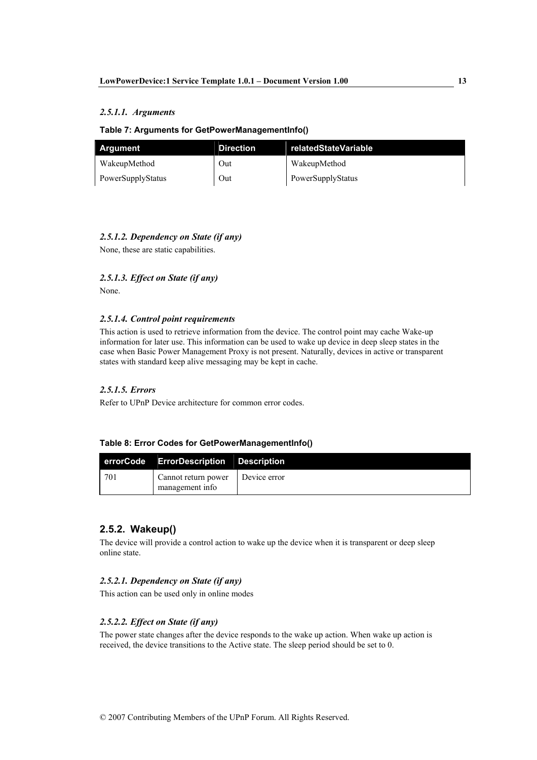### 2.5.1.1. Arguments

#### Table 7: Arguments for GetPowerManagementInfo()

| Argument          | <b>Direction</b> | relatedStateVariable |
|-------------------|------------------|----------------------|
| WakeupMethod      | Out              | WakeupMethod         |
| PowerSupplyStatus | Out              | PowerSupplyStatus    |

## 2.5.1.2. Dependency on State (if any)

None, these are static capabilities.

### 2.5.1.3. Effect on State (if any)

None.

### 2.5.1.4. Control point requirements

This action is used to retrieve information from the device. The control point may cache Wake-up information for later use. This information can be used to wake up device in deep sleep states in the case when Basic Power Management Proxy is not present. Naturally, devices in active or transparent states with standard keep alive messaging may be kept in cache.

## 2.5.1.5. Errors

Refer to UPnP Device architecture for common error codes.

### Table 8: Error Codes for GetPowerManagementInfo()

|     | errorCode ErrorDescription Description |              |
|-----|----------------------------------------|--------------|
| 701 | Cannot return power<br>management info | Device error |

## 2.5.2. Wakeup()

The device will provide a control action to wake up the device when it is transparent or deep sleep online state.

#### 2.5.2.1. Dependency on State (if any)

This action can be used only in online modes

## 2.5.2.2. Effect on State (if any)

The power state changes after the device responds to the wake up action. When wake up action is received, the device transitions to the Active state. The sleep period should be set to 0.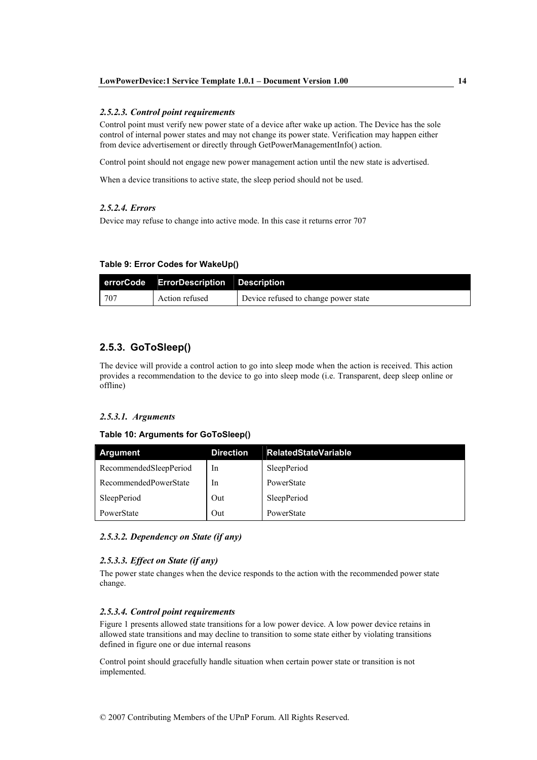#### 2.5.2.3. Control point requirements

Control point must verify new power state of a device after wake up action. The Device has the sole control of internal power states and may not change its power state. Verification may happen either from device advertisement or directly through GetPowerManagementInfo() action.

Control point should not engage new power management action until the new state is advertised.

When a device transitions to active state, the sleep period should not be used.

#### 2.5.2.4. Errors

Device may refuse to change into active mode. In this case it returns error 707

#### Table 9: Error Codes for WakeUp()

|     | errorCode ErrorDescription Description |                                      |
|-----|----------------------------------------|--------------------------------------|
| 707 | Action refused                         | Device refused to change power state |

## 2.5.3. GoToSleep()

The device will provide a control action to go into sleep mode when the action is received. This action provides a recommendation to the device to go into sleep mode (i.e. Transparent, deep sleep online or offline)

#### 2.5.3.1. Arguments

#### Table 10: Arguments for GoToSleep()

| <b>Argument</b>        | <b>Direction</b> | <b>RelatedStateVariable</b> |
|------------------------|------------------|-----------------------------|
| RecommendedSleepPeriod | In               | SleepPeriod                 |
| RecommendedPowerState  | In               | PowerState                  |
| SleepPeriod            | Out              | SleepPeriod                 |
| PowerState             | Out              | PowerState                  |

#### 2.5.3.2. Dependency on State (if any)

#### 2.5.3.3. Effect on State (if any)

The power state changes when the device responds to the action with the recommended power state change.

#### 2.5.3.4. Control point requirements

Figure 1 presents allowed state transitions for a low power device. A low power device retains in allowed state transitions and may decline to transition to some state either by violating transitions defined in figure one or due internal reasons

Control point should gracefully handle situation when certain power state or transition is not implemented.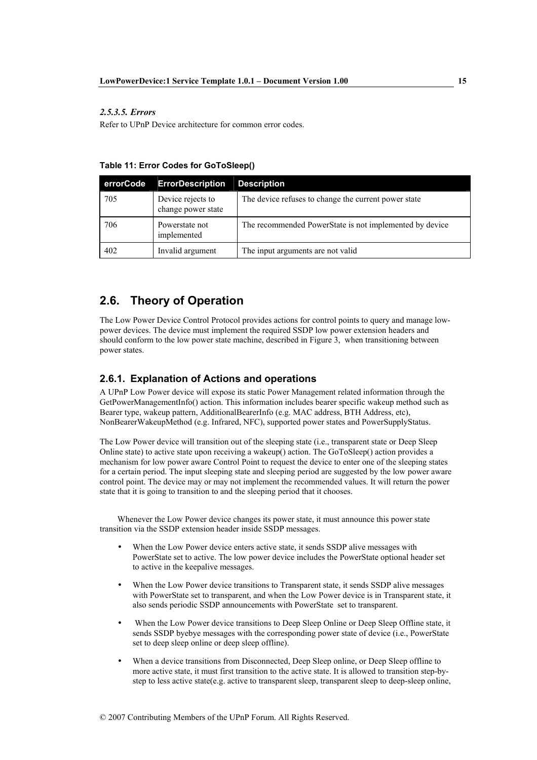#### 2.5.3.5. Errors

Refer to UPnP Device architecture for common error codes.

| errorCode | <b>ErrorDescription</b>                 | <b>Description</b>                                      |
|-----------|-----------------------------------------|---------------------------------------------------------|
| 705       | Device rejects to<br>change power state | The device refuses to change the current power state    |
| 706       | Powerstate not<br>implemented           | The recommended PowerState is not implemented by device |
| 402       | Invalid argument                        | The input arguments are not valid                       |

# 2.6. Theory of Operation

The Low Power Device Control Protocol provides actions for control points to query and manage lowpower devices. The device must implement the required SSDP low power extension headers and should conform to the low power state machine, described in Figure 3, when transitioning between power states.

#### 2.6.1. Explanation of Actions and operations

A UPnP Low Power device will expose its static Power Management related information through the GetPowerManagementInfo() action. This information includes bearer specific wakeup method such as Bearer type, wakeup pattern, AdditionalBearerInfo (e.g. MAC address, BTH Address, etc), NonBearerWakeupMethod (e.g. Infrared, NFC), supported power states and PowerSupplyStatus.

The Low Power device will transition out of the sleeping state (i.e., transparent state or Deep Sleep Online state) to active state upon receiving a wakeup() action. The GoToSleep() action provides a mechanism for low power aware Control Point to request the device to enter one of the sleeping states for a certain period. The input sleeping state and sleeping period are suggested by the low power aware control point. The device may or may not implement the recommended values. It will return the power state that it is going to transition to and the sleeping period that it chooses.

Whenever the Low Power device changes its power state, it must announce this power state transition via the SSDP extension header inside SSDP messages.

- When the Low Power device enters active state, it sends SSDP alive messages with PowerState set to active. The low power device includes the PowerState optional header set to active in the keepalive messages.
- When the Low Power device transitions to Transparent state, it sends SSDP alive messages with PowerState set to transparent, and when the Low Power device is in Transparent state, it also sends periodic SSDP announcements with PowerState set to transparent.
- When the Low Power device transitions to Deep Sleep Online or Deep Sleep Offline state, it sends SSDP byebye messages with the corresponding power state of device (i.e., PowerState set to deep sleep online or deep sleep offline).
- When a device transitions from Disconnected. Deep Sleep online, or Deep Sleep offline to more active state, it must first transition to the active state. It is allowed to transition step-bystep to less active state(e.g. active to transparent sleep, transparent sleep to deep-sleep online,

15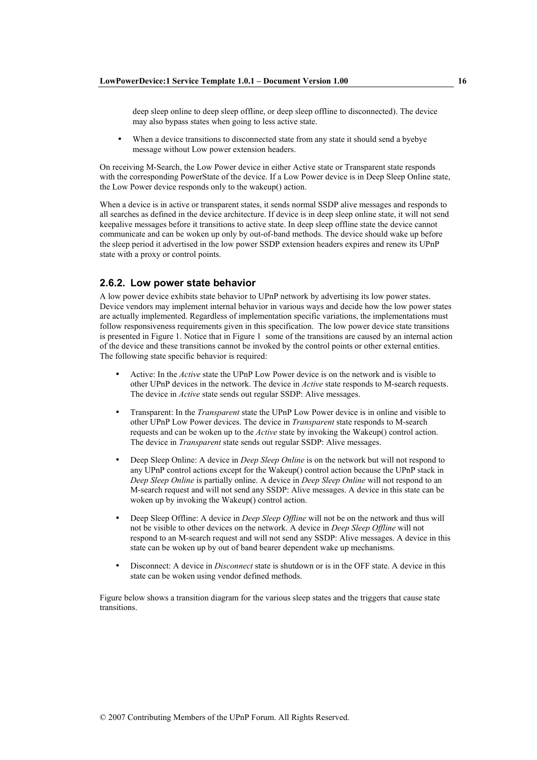deep sleep online to deep sleep offline, or deep sleep offline to disconnected). The device may also bypass states when going to less active state.

When a device transitions to disconnected state from any state it should send a byebye message without Low power extension headers.

On receiving M-Search, the Low Power device in either Active state or Transparent state responds with the corresponding PowerState of the device. If a Low Power device is in Deep Sleep Online state, the Low Power device responds only to the wakeup() action.

When a device is in active or transparent states, it sends normal SSDP alive messages and responds to all searches as defined in the device architecture. If device is in deep sleep online state, it will not send keepalive messages before it transitions to active state. In deep sleep offline state the device cannot communicate and can be woken up only by out-of-band methods. The device should wake up before the sleep period it advertised in the low power SSDP extension headers expires and renew its UPnP state with a proxy or control points.

#### 2.6.2. Low power state behavior

A low power device exhibits state behavior to UPnP network by advertising its low power states. Device vendors may implement internal behavior in various ways and decide how the low power states are actually implemented. Regardless of implementation specific variations, the implementations must follow responsiveness requirements given in this specification. The low power device state transitions is presented in Figure 1. Notice that in Figure 1 some of the transitions are caused by an internal action of the device and these transitions cannot be invoked by the control points or other external entities. The following state specific behavior is required:

- Active: In the Active state the UPnP Low Power device is on the network and is visible to other UPnP devices in the network. The device in *Active* state responds to M-search requests. The device in *Active* state sends out regular SSDP: Alive messages.
- Transparent: In the *Transparent* state the UPnP Low Power device is in online and visible to other UPnP Low Power devices. The device in *Transparent* state responds to M-search requests and can be woken up to the *Active* state by invoking the Wakeup() control action. The device in *Transparent* state sends out regular SSDP: Alive messages.
- Deep Sleep Online: A device in *Deep Sleep Online* is on the network but will not respond to any UPnP control actions except for the Wakeup() control action because the UPnP stack in Deep Sleep Online is partially online. A device in Deep Sleep Online will not respond to an M-search request and will not send any SSDP: Alive messages. A device in this state can be woken up by invoking the Wakeup() control action.
- Deep Sleep Offline: A device in Deep Sleep Offline will not be on the network and thus will not be visible to other devices on the network. A device in Deep Sleep Offline will not respond to an M-search request and will not send any SSDP: Alive messages. A device in this state can be woken up by out of band bearer dependent wake up mechanisms.
- Disconnect: A device in *Disconnect* state is shutdown or is in the OFF state. A device in this state can be woken using vendor defined methods.

Figure below shows a transition diagram for the various sleep states and the triggers that cause state transitions.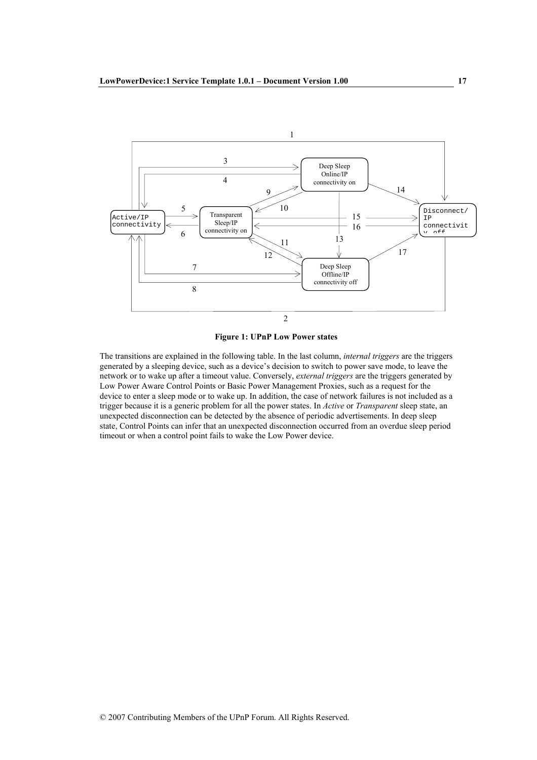

### **Figure 1: UPnP Low Power states**

The transitions are explained in the following table. In the last column, *internal triggers* are the triggers generated by a sleeping device, such as a device's decision to switch to power save mode, to leave the network or to wake up after a timeout value. Conversely, external triggers are the triggers generated by Low Power Aware Control Points or Basic Power Management Proxies, such as a request for the device to enter a sleep mode or to wake up. In addition, the case of network failures is not included as a trigger because it is a generic problem for all the power states. In Active or Transparent sleep state, an unexpected disconnection can be detected by the absence of periodic advertisements. In deep sleep state, Control Points can infer that an unexpected disconnection occurred from an overdue sleep period timeout or when a control point fails to wake the Low Power device.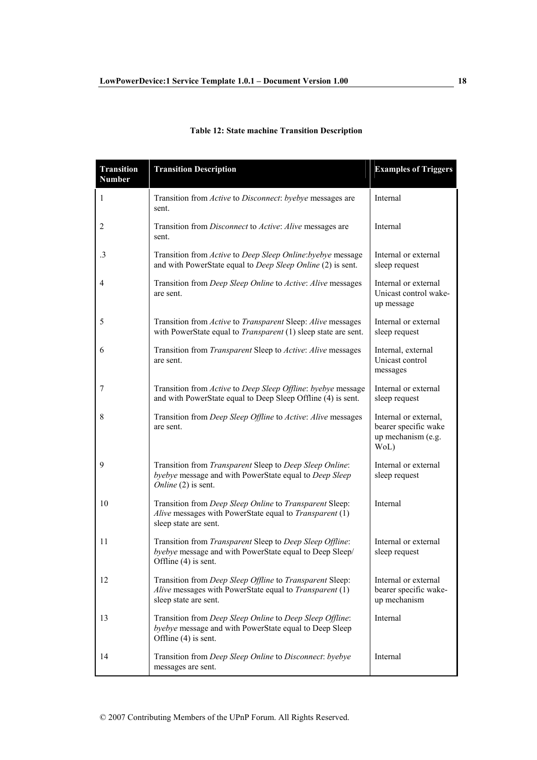# **Table 12: State machine Transition Description**

| <b>Transition</b><br><b>Number</b> | <b>Transition Description</b>                                                                                                                | <b>Examples of Triggers</b>                                                 |
|------------------------------------|----------------------------------------------------------------------------------------------------------------------------------------------|-----------------------------------------------------------------------------|
| 1                                  | Transition from Active to Disconnect: byebye messages are<br>sent.                                                                           | Internal                                                                    |
| 2                                  | Transition from Disconnect to Active: Alive messages are<br>sent.                                                                            | Internal                                                                    |
| $\cdot$ 3                          | Transition from Active to Deep Sleep Online: byebye message<br>and with PowerState equal to <i>Deep Sleep Online</i> (2) is sent.            | Internal or external<br>sleep request                                       |
| 4                                  | Transition from Deep Sleep Online to Active: Alive messages<br>are sent.                                                                     | Internal or external<br>Unicast control wake-<br>up message                 |
| 5                                  | Transition from Active to Transparent Sleep: Alive messages<br>with PowerState equal to <i>Transparent</i> $(1)$ sleep state are sent.       | Internal or external<br>sleep request                                       |
| 6                                  | Transition from Transparent Sleep to Active: Alive messages<br>are sent.                                                                     | Internal, external<br>Unicast control<br>messages                           |
| 7                                  | Transition from Active to Deep Sleep Offline: byebye message<br>and with PowerState equal to Deep Sleep Offline (4) is sent.                 | Internal or external<br>sleep request                                       |
| 8                                  | Transition from Deep Sleep Offline to Active: Alive messages<br>are sent.                                                                    | Internal or external,<br>bearer specific wake<br>up mechanism (e.g.<br>WoL) |
| 9                                  | Transition from Transparent Sleep to Deep Sleep Online:<br>byebye message and with PowerState equal to Deep Sleep<br>Online (2) is sent.     | Internal or external<br>sleep request                                       |
| 10                                 | Transition from Deep Sleep Online to Transparent Sleep:<br>Alive messages with PowerState equal to Transparent (1)<br>sleep state are sent.  | Internal                                                                    |
| 11                                 | Transition from Transparent Sleep to Deep Sleep Offline:<br>byebye message and with PowerState equal to Deep Sleep/<br>Offline (4) is sent.  | Internal or external<br>sleep request                                       |
| 12                                 | Transition from Deep Sleep Offline to Transparent Sleep:<br>Alive messages with PowerState equal to Transparent (1)<br>sleep state are sent. | Internal or external<br>bearer specific wake-<br>up mechanism               |
| 13                                 | Transition from Deep Sleep Online to Deep Sleep Offline:<br>byebye message and with PowerState equal to Deep Sleep<br>Offline (4) is sent.   | Internal                                                                    |
| 14                                 | Transition from Deep Sleep Online to Disconnect: byebye<br>messages are sent.                                                                | Internal                                                                    |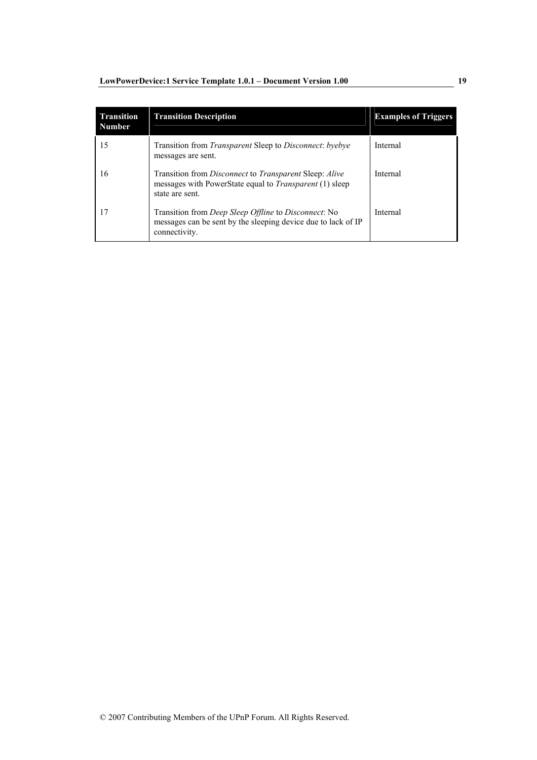| <b>Transition</b><br><b>Number</b> | <b>Transition Description</b>                                                                                                                                    | <b>Examples of Triggers</b> |
|------------------------------------|------------------------------------------------------------------------------------------------------------------------------------------------------------------|-----------------------------|
| 15                                 | Transition from Transparent Sleep to Disconnect: byebye<br>messages are sent.                                                                                    | Internal                    |
| 16                                 | Transition from <i>Disconnect</i> to <i>Transparent</i> Sleep: <i>Alive</i><br>messages with PowerState equal to <i>Transparent</i> (1) sleep<br>state are sent. | Internal                    |
| 17                                 | Transition from <i>Deep Sleep Offline</i> to <i>Disconnect</i> : No<br>messages can be sent by the sleeping device due to lack of IP<br>connectivity.            | Internal                    |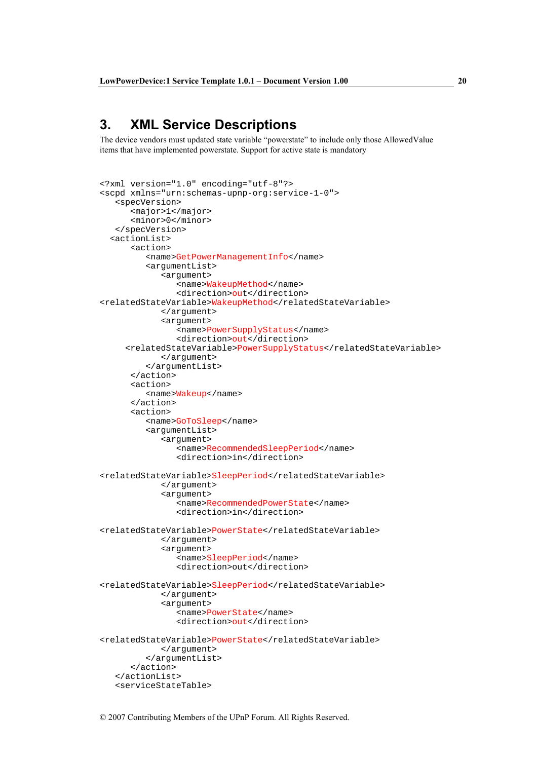# 3. XML Service Descriptions

The device vendors must updated state variable "powerstate" to include only those AllowedValue items that have implemented powerstate. Support for active state is mandatory

```
<?xml version="1.0" encoding="utf-8"?> 
<scpd xmlns="urn:schemas-upnp-org:service-1-0"> 
    <specVersion> 
       <major>1</major> 
       <minor>0</minor> 
    </specVersion> 
   <actionList> 
       <action> 
          <name>GetPowerManagementInfo</name> 
          <argumentList> 
              <argument> 
                 <name>WakeupMethod</name> 
                 <direction>out</direction> 
<relatedStateVariable>WakeupMethod</relatedStateVariable> 
              </argument> 
              <argument> 
                 <name>PowerSupplyStatus</name> 
                 <direction>out</direction> 
      <relatedStateVariable>PowerSupplyStatus</relatedStateVariable> 
              </argument> 
          </argumentList> 
       </action> 
       <action> 
          <name>Wakeup</name> 
       </action> 
       <action> 
          <name>GoToSleep</name> 
           <argumentList> 
              <argument> 
                 <name>RecommendedSleepPeriod</name> 
                 <direction>in</direction> 
<relatedStateVariable>SleepPeriod</relatedStateVariable> 
              </argument> 
              <argument> 
                 <name>RecommendedPowerState</name> 
                 <direction>in</direction> 
<relatedStateVariable>PowerState</relatedStateVariable> 
              </argument> 
              <argument> 
                 <name>SleepPeriod</name> 
                 <direction>out</direction> 
<relatedStateVariable>SleepPeriod</relatedStateVariable> 
              </argument> 
              <argument> 
                 <name>PowerState</name> 
                 <direction>out</direction> 
<relatedStateVariable>PowerState</relatedStateVariable> 
             </argument> 
          </argumentList> 
       </action> 
    </actionList> 
    <serviceStateTable>
```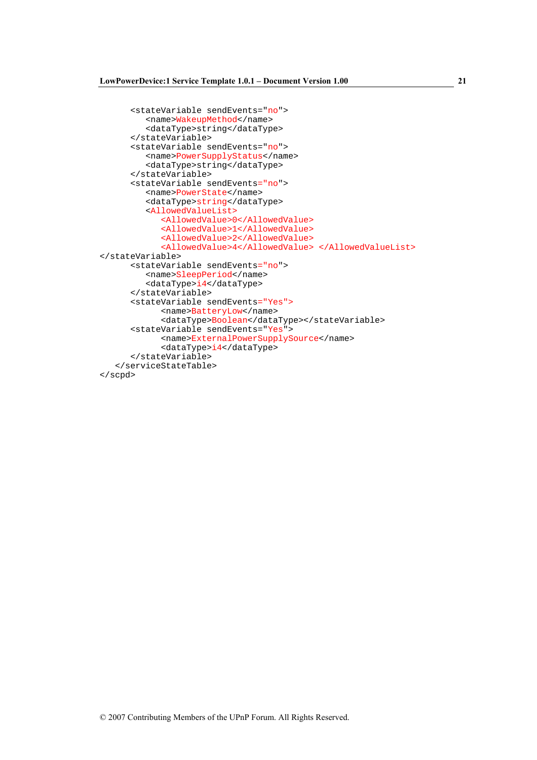```
<stateVariable sendEvents="no">
         <name>WakeupMethod</name>
         <dataType>string</dataType>
      </stateVariable>
      <stateVariable sendEvents="no">
         <name>PowerSupplyStatus</name>
         <dataType>string</dataType>
      </stateVariable>
      <stateVariable sendEvents="no">
         <name>PowerState</name>
         <dataType>string</dataType>
         <AllowedValueList>
            <AllowedValue>0</AllowedValue>
            <AllowedValue>1</AllowedValue>
            <AllowedValue>2</AllowedValue>
            <AllowedValue>4</AllowedValue> </AllowedValueList>
</stateVariable>
      <stateVariable sendEvents="no">
         <name>SleepPeriod</name>
         <dataType>i4</dataType>
      </stateVariable>
      <stateVariable sendEvents="Yes">
            <name>BatteryLow</name>
            <dataType>Boolean</dataType></stateVariable>
      <stateVariable sendEvents="Yes">
            <name>ExternalPowerSupplySource</name>
            <dataType>i4</dataType>
      </stateVariable>
   </serviceStateTable>
\langle/scpd>
```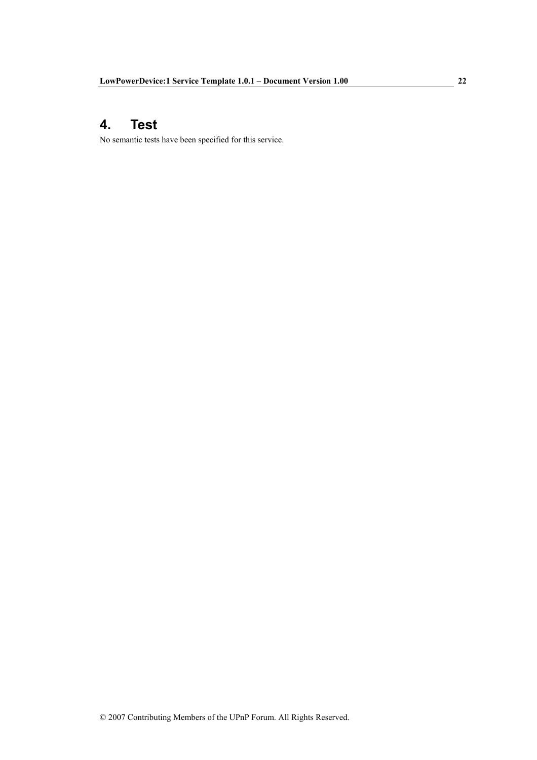#### 4. **Test**

No semantic tests have been specified for this service.